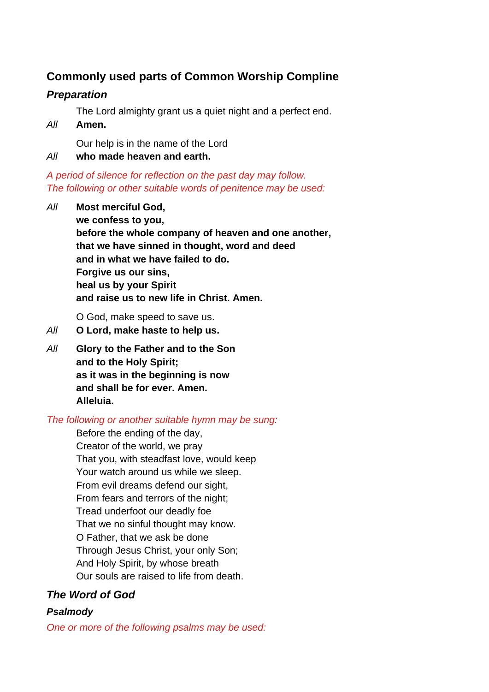# **Commonly used parts of Common Worship Compline**

# *Preparation*

The Lord almighty grant us a quiet night and a perfect end.

*All* **Amen.**

Our help is in the name of the Lord

*All* **who made heaven and earth.**

*A period of silence for reflection on the past day may follow. The following or other suitable words of penitence may be used:*

*All* **Most merciful God, we confess to you, before the whole company of heaven and one another, that we have sinned in thought, word and deed and in what we have failed to do. Forgive us our sins, heal us by your Spirit and raise us to new life in Christ. Amen.**

O God, make speed to save us.

- *All* **O Lord, make haste to help us.**
- *All* **Glory to the Father and to the Son and to the Holy Spirit; as it was in the beginning is now and shall be for ever. Amen. Alleluia.**

# *The following or another suitable hymn may be sung:*

Before the ending of the day, Creator of the world, we pray That you, with steadfast love, would keep Your watch around us while we sleep. From evil dreams defend our sight, From fears and terrors of the night; Tread underfoot our deadly foe That we no sinful thought may know. O Father, that we ask be done Through Jesus Christ, your only Son; And Holy Spirit, by whose breath Our souls are raised to life from death.

# *The Word of God*

# *Psalmody*

*One or more of the following psalms may be used:*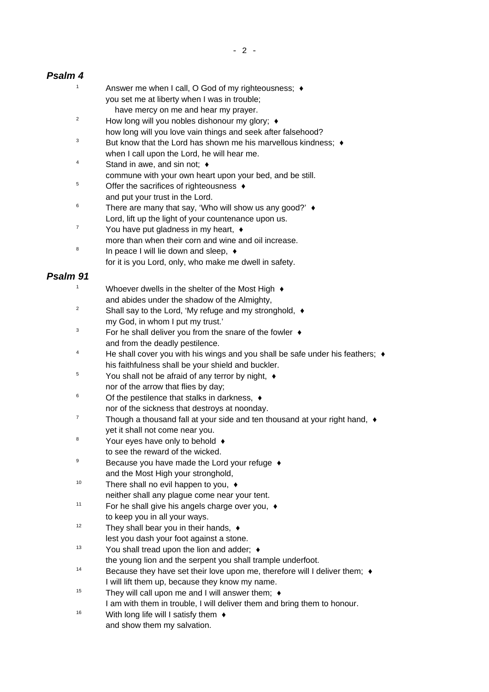### *Psalm 4*

- 1 Answer me when I call, O God of my righteousness;  $\triangleleft$ you set me at liberty when I was in trouble; have mercy on me and hear my prayer.
- <sup>2</sup> How long will you nobles dishonour my glory;  $\triangleleft$
- how long will you love vain things and seek after falsehood?
- $3$  But know that the Lord has shown me his marvellous kindness;  $\triangleleft$ when I call upon the Lord, he will hear me.
- $4 \quad$  Stand in awe, and sin not:  $\bullet$
- commune with your own heart upon your bed, and be still.
- <sup>5</sup> Offer the sacrifices of righteousness ♦ and put your trust in the Lord.
- $6$  There are many that say, 'Who will show us any good?'  $\triangleleft$ Lord, lift up the light of your countenance upon us.
- $7 \times$  You have put gladness in my heart,  $\triangleleft$
- more than when their corn and wine and oil increase.
- 8 In peace I will lie down and sleep,  $\triangleleft$
- for it is you Lord, only, who make me dwell in safety.

### *Psalm 91*

- <sup>1</sup> Whoever dwells in the shelter of the Most High  $\triangleleft$ and abides under the shadow of the Almighty,
- <sup>2</sup> Shall say to the Lord, 'My refuge and my stronghold,  $\triangleleft$ my God, in whom I put my trust.'
- $3 \cdot$  For he shall deliver you from the snare of the fowler  $\triangleleft$ and from the deadly pestilence.
- <sup>4</sup> He shall cover you with his wings and you shall be safe under his feathers;  $\triangleleft$ his faithfulness shall be your shield and buckler.
- $5 \times$  You shall not be afraid of any terror by night,  $\triangleleft$ nor of the arrow that flies by day;
- $6$  Of the pestilence that stalks in darkness,  $\triangleleft$ nor of the sickness that destroys at noonday.
- $7$  Though a thousand fall at your side and ten thousand at your right hand,  $\triangleleft$ yet it shall not come near you.
- <sup>8</sup> Your eyes have only to behold ♦
- to see the reward of the wicked.
- <sup>9</sup> Because you have made the Lord your refuge ♦ and the Most High your stronghold,
- $10$  There shall no evil happen to you,  $\triangleleft$ neither shall any plague come near your tent.
- <sup>11</sup> For he shall give his angels charge over you,  $\triangleleft$ to keep you in all your ways.
- $12$  They shall bear you in their hands,  $\triangleleft$
- lest you dash your foot against a stone.
- $13$  You shall tread upon the lion and adder;  $\triangleleft$
- the young lion and the serpent you shall trample underfoot.
- $14$  Because they have set their love upon me, therefore will I deliver them;  $\bullet$ I will lift them up, because they know my name.
- <sup>15</sup> They will call upon me and I will answer them:  $\triangleleft$ I am with them in trouble, I will deliver them and bring them to honour.
- $16$  With long life will I satisfy them  $\triangleleft$ and show them my salvation.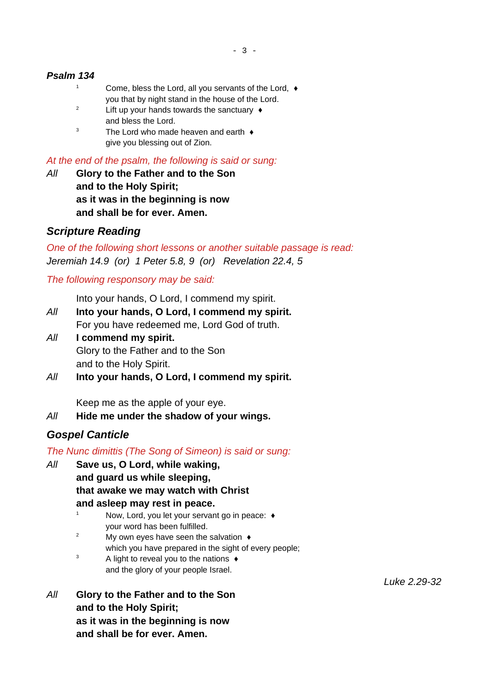### *Psalm 134*

- <sup>1</sup> Come, bless the Lord, all you servants of the Lord,  $\triangleleft$ you that by night stand in the house of the Lord.
- <sup>2</sup> Lift up your hands towards the sanctuary  $\triangle$ and bless the Lord.
- $3$  The Lord who made heaven and earth  $\triangleleft$ give you blessing out of Zion.

*At the end of the psalm, the following is said or sung:*

*All* **Glory to the Father and to the Son and to the Holy Spirit; as it was in the beginning is now and shall be for ever. Amen.**

### *Scripture Reading*

*One of the following short lessons or another suitable passage is read: Jeremiah 14.9 (or) 1 Peter 5.8, 9 (or) Revelation 22.4, 5*

*The following responsory may be said:*

Into your hands, O Lord, I commend my spirit.

- *All* **Into your hands, O Lord, I commend my spirit.** For you have redeemed me, Lord God of truth.
- *All* **I commend my spirit.** Glory to the Father and to the Son and to the Holy Spirit.
- *All* **Into your hands, O Lord, I commend my spirit.**

Keep me as the apple of your eye.

*All* **Hide me under the shadow of your wings.**

# *Gospel Canticle*

*The Nunc dimittis (The Song of Simeon) is said or sung:*

- *All* **Save us, O Lord, while waking, and guard us while sleeping, that awake we may watch with Christ and asleep may rest in peace.**
	- $1$  Now, Lord, you let your servant go in peace:  $\triangleleft$ your word has been fulfilled.
	- <sup>2</sup> My own eyes have seen the salvation  $\rightarrow$ which you have prepared in the sight of every people;
	- $3$  A light to reveal you to the nations  $\triangleleft$ and the glory of your people Israel.
- *All* **Glory to the Father and to the Son and to the Holy Spirit; as it was in the beginning is now and shall be for ever. Amen.**

*Luke 2.29-32*